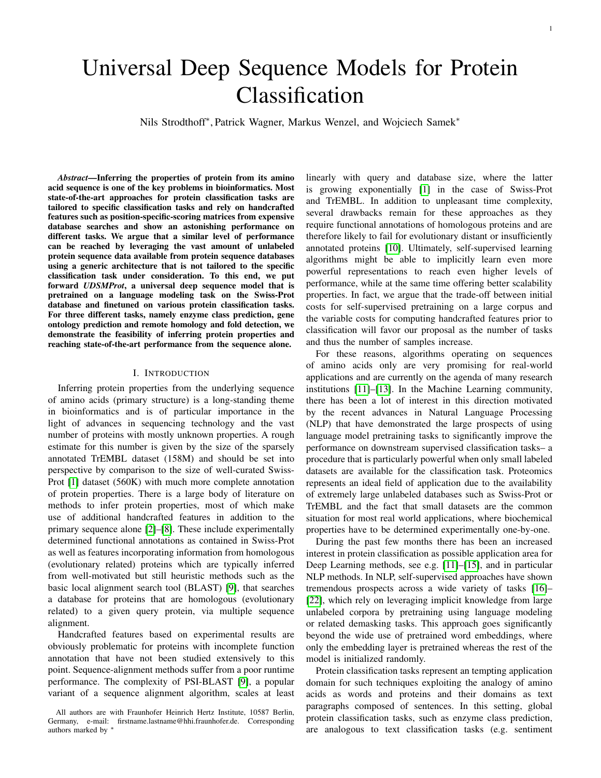# Universal Deep Sequence Models for Protein Classification

Nils Strodthoff<sup>∗</sup> , Patrick Wagner, Markus Wenzel, and Wojciech Samek<sup>∗</sup>

*Abstract*—Inferring the properties of protein from its amino acid sequence is one of the key problems in bioinformatics. Most state-of-the-art approaches for protein classification tasks are tailored to specific classification tasks and rely on handcrafted features such as position-specific-scoring matrices from expensive database searches and show an astonishing performance on different tasks. We argue that a similar level of performance can be reached by leveraging the vast amount of unlabeled protein sequence data available from protein sequence databases using a generic architecture that is not tailored to the specific classification task under consideration. To this end, we put forward *UDSMProt*, a universal deep sequence model that is pretrained on a language modeling task on the Swiss-Prot database and finetuned on various protein classification tasks. For three different tasks, namely enzyme class prediction, gene ontology prediction and remote homology and fold detection, we demonstrate the feasibility of inferring protein properties and reaching state-of-the-art performance from the sequence alone.

#### I. INTRODUCTION

<span id="page-0-0"></span>Inferring protein properties from the underlying sequence of amino acids (primary structure) is a long-standing theme in bioinformatics and is of particular importance in the light of advances in sequencing technology and the vast number of proteins with mostly unknown properties. A rough estimate for this number is given by the size of the sparsely annotated TrEMBL dataset (158M) and should be set into perspective by comparison to the size of well-curated Swiss-Prot [\[1\]](#page-10-0) dataset (560K) with much more complete annotation of protein properties. There is a large body of literature on methods to infer protein properties, most of which make use of additional handcrafted features in addition to the primary sequence alone [\[2\]](#page-10-1)–[\[8\]](#page-10-2). These include experimentally determined functional annotations as contained in Swiss-Prot as well as features incorporating information from homologous (evolutionary related) proteins which are typically inferred from well-motivated but still heuristic methods such as the basic local alignment search tool (BLAST) [\[9\]](#page-10-3), that searches a database for proteins that are homologous (evolutionary related) to a given query protein, via multiple sequence alignment.

Handcrafted features based on experimental results are obviously problematic for proteins with incomplete function annotation that have not been studied extensively to this point. Sequence-alignment methods suffer from a poor runtime performance. The complexity of PSI-BLAST [\[9\]](#page-10-3), a popular variant of a sequence alignment algorithm, scales at least linearly with query and database size, where the latter is growing exponentially [\[1\]](#page-10-0) in the case of Swiss-Prot and TrEMBL. In addition to unpleasant time complexity, several drawbacks remain for these approaches as they require functional annotations of homologous proteins and are therefore likely to fail for evolutionary distant or insufficiently annotated proteins [\[10\]](#page-10-4). Ultimately, self-supervised learning algorithms might be able to implicitly learn even more powerful representations to reach even higher levels of performance, while at the same time offering better scalability properties. In fact, we argue that the trade-off between initial costs for self-supervised pretraining on a large corpus and the variable costs for computing handcrafted features prior to classification will favor our proposal as the number of tasks and thus the number of samples increase.

For these reasons, algorithms operating on sequences of amino acids only are very promising for real-world applications and are currently on the agenda of many research institutions [\[11\]](#page-10-5)–[\[13\]](#page-10-6). In the Machine Learning community, there has been a lot of interest in this direction motivated by the recent advances in Natural Language Processing (NLP) that have demonstrated the large prospects of using language model pretraining tasks to significantly improve the performance on downstream supervised classification tasks– a procedure that is particularly powerful when only small labeled datasets are available for the classification task. Proteomics represents an ideal field of application due to the availability of extremely large unlabeled databases such as Swiss-Prot or TrEMBL and the fact that small datasets are the common situation for most real world applications, where biochemical properties have to be determined experimentally one-by-one.

During the past few months there has been an increased interest in protein classification as possible application area for Deep Learning methods, see e.g. [\[11\]](#page-10-5)–[\[15\]](#page-10-7), and in particular NLP methods. In NLP, self-supervised approaches have shown tremendous prospects across a wide variety of tasks [\[16\]](#page-10-8)– [\[22\]](#page-11-0), which rely on leveraging implicit knowledge from large unlabeled corpora by pretraining using language modeling or related demasking tasks. This approach goes significantly beyond the wide use of pretrained word embeddings, where only the embedding layer is pretrained whereas the rest of the model is initialized randomly.

Protein classification tasks represent an tempting application domain for such techniques exploiting the analogy of amino acids as words and proteins and their domains as text paragraphs composed of sentences. In this setting, global protein classification tasks, such as enzyme class prediction, are analogous to text classification tasks (e.g. sentiment

All authors are with Fraunhofer Heinrich Hertz Institute, 10587 Berlin, Germany, e-mail: firstname.lastname@hhi.fraunhofer.de. Corresponding authors marked by '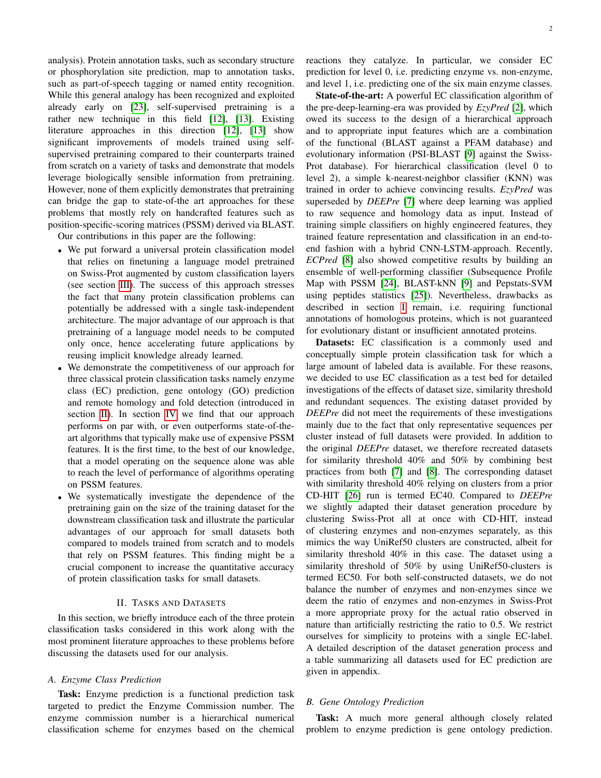analysis). Protein annotation tasks, such as secondary structure or phosphorylation site prediction, map to annotation tasks, such as part-of-speech tagging or named entity recognition. While this general analogy has been recognized and exploited already early on [\[23\]](#page-11-1), self-supervised pretraining is a rather new technique in this field [\[12\]](#page-10-9), [\[13\]](#page-10-6). Existing literature approaches in this direction [\[12\]](#page-10-9), [\[13\]](#page-10-6) show significant improvements of models trained using selfsupervised pretraining compared to their counterparts trained from scratch on a variety of tasks and demonstrate that models leverage biologically sensible information from pretraining. However, none of them explicitly demonstrates that pretraining can bridge the gap to state-of-the art approaches for these problems that mostly rely on handcrafted features such as position-specific-scoring matrices (PSSM) derived via BLAST.

Our contributions in this paper are the following:

- We put forward a universal protein classification model that relies on finetuning a language model pretrained on Swiss-Prot augmented by custom classification layers (see section [III\)](#page-2-0). The success of this approach stresses the fact that many protein classification problems can potentially be addressed with a single task-independent architecture. The major advantage of our approach is that pretraining of a language model needs to be computed only once, hence accelerating future applications by reusing implicit knowledge already learned.
- We demonstrate the competitiveness of our approach for three classical protein classification tasks namely enzyme class (EC) prediction, gene ontology (GO) prediction and remote homology and fold detection (introduced in section [II\)](#page-1-0). In section [IV](#page-3-0) we find that our approach performs on par with, or even outperforms state-of-theart algorithms that typically make use of expensive PSSM features. It is the first time, to the best of our knowledge, that a model operating on the sequence alone was able to reach the level of performance of algorithms operating on PSSM features.
- We systematically investigate the dependence of the pretraining gain on the size of the training dataset for the downstream classification task and illustrate the particular advantages of our approach for small datasets both compared to models trained from scratch and to models that rely on PSSM features. This finding might be a crucial component to increase the quantitative accuracy of protein classification tasks for small datasets.

#### II. TASKS AND DATASETS

<span id="page-1-0"></span>In this section, we briefly introduce each of the three protein classification tasks considered in this work along with the most prominent literature approaches to these problems before discussing the datasets used for our analysis.

## *A. Enzyme Class Prediction*

Task: Enzyme prediction is a functional prediction task targeted to predict the Enzyme Commission number. The enzyme commission number is a hierarchical numerical classification scheme for enzymes based on the chemical reactions they catalyze. In particular, we consider EC prediction for level 0, i.e. predicting enzyme vs. non-enzyme, and level 1, i.e. predicting one of the six main enzyme classes.

State-of-the-art: A powerful EC classification algorithm of the pre-deep-learning-era was provided by *EzyPred* [\[2\]](#page-10-1), which owed its success to the design of a hierarchical approach and to appropriate input features which are a combination of the functional (BLAST against a PFAM database) and evolutionary information (PSI-BLAST [\[9\]](#page-10-3) against the Swiss-Prot database). For hierarchical classification (level 0 to level 2), a simple k-nearest-neighbor classifier (KNN) was trained in order to achieve convincing results. *EzyPred* was superseded by *DEEPre* [\[7\]](#page-10-10) where deep learning was applied to raw sequence and homology data as input. Instead of training simple classifiers on highly engineered features, they trained feature representation and classification in an end-toend fashion with a hybrid CNN-LSTM-approach. Recently, *ECPred* [\[8\]](#page-10-2) also showed competitive results by building an ensemble of well-performing classifier (Subsequence Profile Map with PSSM [\[24\]](#page-11-2), BLAST-kNN [\[9\]](#page-10-3) and Pepstats-SVM using peptides statistics [\[25\]](#page-11-3)). Nevertheless, drawbacks as described in section [I](#page-0-0) remain, i.e. requiring functional annotations of homologous proteins, which is not guaranteed for evolutionary distant or insufficient annotated proteins.

Datasets: EC classification is a commonly used and conceptually simple protein classification task for which a large amount of labeled data is available. For these reasons, we decided to use EC classification as a test bed for detailed investigations of the effects of dataset size, similarity threshold and redundant sequences. The existing dataset provided by *DEEPre* did not meet the requirements of these investigations mainly due to the fact that only representative sequences per cluster instead of full datasets were provided. In addition to the original *DEEPre* dataset, we therefore recreated datasets for similarity threshold 40% and 50% by combining best practices from both [\[7\]](#page-10-10) and [\[8\]](#page-10-2). The corresponding dataset with similarity threshold 40% relying on clusters from a prior CD-HIT [\[26\]](#page-11-4) run is termed EC40. Compared to *DEEPre* we slightly adapted their dataset generation procedure by clustering Swiss-Prot all at once with CD-HIT, instead of clustering enzymes and non-enzymes separately, as this mimics the way UniRef50 clusters are constructed, albeit for similarity threshold 40% in this case. The dataset using a similarity threshold of 50% by using UniRef50-clusters is termed EC50. For both self-constructed datasets, we do not balance the number of enzymes and non-enzymes since we deem the ratio of enzymes and non-enzymes in Swiss-Prot a more appropriate proxy for the actual ratio observed in nature than artificially restricting the ratio to 0.5. We restrict ourselves for simplicity to proteins with a single EC-label. A detailed description of the dataset generation process and a table summarizing all datasets used for EC prediction are given in appendix.

### <span id="page-1-1"></span>*B. Gene Ontology Prediction*

Task: A much more general although closely related problem to enzyme prediction is gene ontology prediction.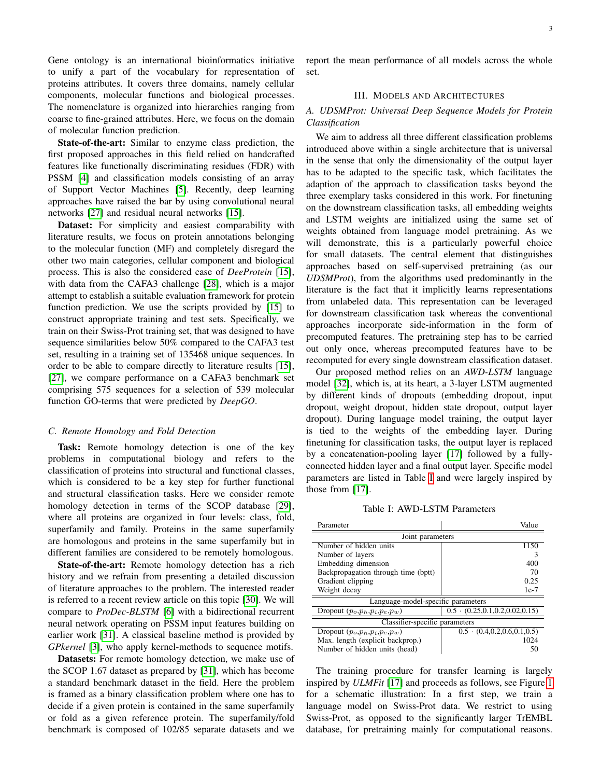Gene ontology is an international bioinformatics initiative to unify a part of the vocabulary for representation of proteins attributes. It covers three domains, namely cellular components, molecular functions and biological processes. The nomenclature is organized into hierarchies ranging from coarse to fine-grained attributes. Here, we focus on the domain of molecular function prediction.

State-of-the-art: Similar to enzyme class prediction, the first proposed approaches in this field relied on handcrafted features like functionally discriminating residues (FDR) with PSSM [\[4\]](#page-10-11) and classification models consisting of an array of Support Vector Machines [\[5\]](#page-10-12). Recently, deep learning approaches have raised the bar by using convolutional neural networks [\[27\]](#page-11-5) and residual neural networks [\[15\]](#page-10-7).

Dataset: For simplicity and easiest comparability with literature results, we focus on protein annotations belonging to the molecular function (MF) and completely disregard the other two main categories, cellular component and biological process. This is also the considered case of *DeeProtein* [\[15\]](#page-10-7), with data from the CAFA3 challenge [\[28\]](#page-11-6), which is a major attempt to establish a suitable evaluation framework for protein function prediction. We use the scripts provided by [\[15\]](#page-10-7) to construct appropriate training and test sets. Specifically, we train on their Swiss-Prot training set, that was designed to have sequence similarities below 50% compared to the CAFA3 test set, resulting in a training set of 135468 unique sequences. In order to be able to compare directly to literature results [\[15\]](#page-10-7), [\[27\]](#page-11-5), we compare performance on a CAFA3 benchmark set comprising 575 sequences for a selection of 539 molecular function GO-terms that were predicted by *DeepGO*.

## *C. Remote Homology and Fold Detection*

Task: Remote homology detection is one of the key problems in computational biology and refers to the classification of proteins into structural and functional classes, which is considered to be a key step for further functional and structural classification tasks. Here we consider remote homology detection in terms of the SCOP database [\[29\]](#page-11-7), where all proteins are organized in four levels: class, fold, superfamily and family. Proteins in the same superfamily are homologous and proteins in the same superfamily but in different families are considered to be remotely homologous.

**State-of-the-art:** Remote homology detection has a rich history and we refrain from presenting a detailed discussion of literature approaches to the problem. The interested reader is referred to a recent review article on this topic [\[30\]](#page-11-8). We will compare to *ProDec-BLSTM* [\[6\]](#page-10-13) with a bidirectional recurrent neural network operating on PSSM input features building on earlier work [\[31\]](#page-11-9). A classical baseline method is provided by *GPkernel* [\[3\]](#page-10-14), who apply kernel-methods to sequence motifs.

Datasets: For remote homology detection, we make use of the SCOP 1.67 dataset as prepared by [\[31\]](#page-11-9), which has become a standard benchmark dataset in the field. Here the problem is framed as a binary classification problem where one has to decide if a given protein is contained in the same superfamily or fold as a given reference protein. The superfamily/fold benchmark is composed of 102/85 separate datasets and we

report the mean performance of all models across the whole set.

## III. MODELS AND ARCHITECTURES

## <span id="page-2-0"></span>*A. UDSMProt: Universal Deep Sequence Models for Protein Classification*

We aim to address all three different classification problems introduced above within a single architecture that is universal in the sense that only the dimensionality of the output layer has to be adapted to the specific task, which facilitates the adaption of the approach to classification tasks beyond the three exemplary tasks considered in this work. For finetuning on the downstream classification tasks, all embedding weights and LSTM weights are initialized using the same set of weights obtained from language model pretraining. As we will demonstrate, this is a particularly powerful choice for small datasets. The central element that distinguishes approaches based on self-supervised pretraining (as our *UDSMProt*), from the algorithms used predominantly in the literature is the fact that it implicitly learns representations from unlabeled data. This representation can be leveraged for downstream classification task whereas the conventional approaches incorporate side-information in the form of precomputed features. The pretraining step has to be carried out only once, whereas precomputed features have to be recomputed for every single downstream classification dataset.

Our proposed method relies on an *AWD-LSTM* language model [\[32\]](#page-11-10), which is, at its heart, a 3-layer LSTM augmented by different kinds of dropouts (embedding dropout, input dropout, weight dropout, hidden state dropout, output layer dropout). During language model training, the output layer is tied to the weights of the embedding layer. During finetuning for classification tasks, the output layer is replaced by a concatenation-pooling layer [\[17\]](#page-11-11) followed by a fullyconnected hidden layer and a final output layer. Specific model parameters are listed in Table [I](#page-2-1) and were largely inspired by those from [\[17\]](#page-11-11).

Table I: AWD-LSTM Parameters

<span id="page-2-1"></span>

| Parameter                           | Value                                    |  |  |  |
|-------------------------------------|------------------------------------------|--|--|--|
| Joint parameters                    |                                          |  |  |  |
| Number of hidden units              | 1150                                     |  |  |  |
| Number of layers                    |                                          |  |  |  |
| Embedding dimension                 | 400                                      |  |  |  |
| Backpropagation through time (bptt) | 70                                       |  |  |  |
| Gradient clipping                   | 0.25                                     |  |  |  |
| Weight decay                        | $1e-7$                                   |  |  |  |
| Language-model-specific parameters  |                                          |  |  |  |
| Dropout $(p_o, p_h, p_i, p_e, p_w)$ | $0.5 \cdot (0.25, 0.1, 0.2, 0.02, 0.15)$ |  |  |  |
| Classifier-specific parameters      |                                          |  |  |  |
| Dropout $(p_o, p_h, p_i, p_e, p_w)$ | $0.5 \cdot (0.4, 0.2, 0.6, 0.1, 0.5)$    |  |  |  |
| Max. length (explicit backprop.)    | 1024                                     |  |  |  |
| Number of hidden units (head)       | 50                                       |  |  |  |

The training procedure for transfer learning is largely inspired by *ULMFit* [\[17\]](#page-11-11) and proceeds as follows, see Figure [1](#page-4-0) for a schematic illustration: In a first step, we train a language model on Swiss-Prot data. We restrict to using Swiss-Prot, as opposed to the significantly larger TrEMBL database, for pretraining mainly for computational reasons.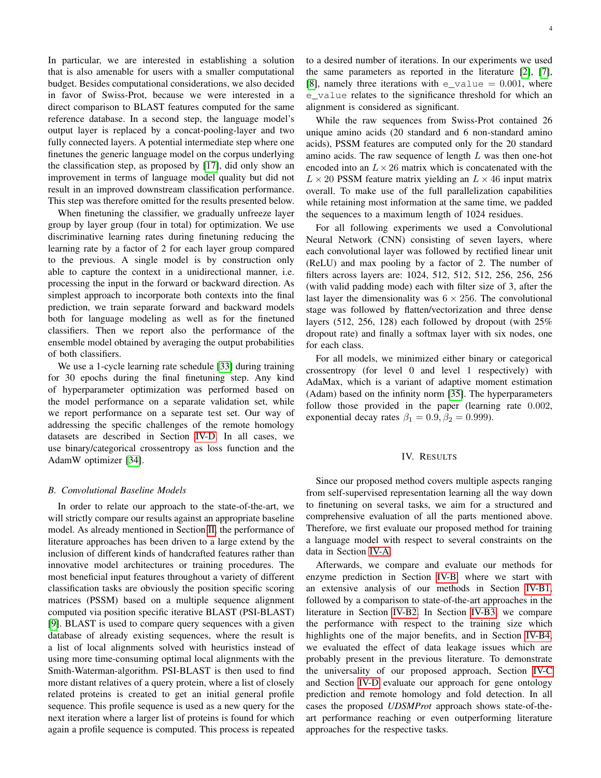In particular, we are interested in establishing a solution that is also amenable for users with a smaller computational budget. Besides computational considerations, we also decided in favor of Swiss-Prot, because we were interested in a direct comparison to BLAST features computed for the same reference database. In a second step, the language model's output layer is replaced by a concat-pooling-layer and two fully connected layers. A potential intermediate step where one finetunes the generic language model on the corpus underlying the classification step, as proposed by [\[17\]](#page-11-11), did only show an improvement in terms of language model quality but did not result in an improved downstream classification performance. This step was therefore omitted for the results presented below.

When finetuning the classifier, we gradually unfreeze layer group by layer group (four in total) for optimization. We use discriminative learning rates during finetuning reducing the learning rate by a factor of 2 for each layer group compared to the previous. A single model is by construction only able to capture the context in a unidirectional manner, i.e. processing the input in the forward or backward direction. As simplest approach to incorporate both contexts into the final prediction, we train separate forward and backward models both for language modeling as well as for the finetuned classifiers. Then we report also the performance of the ensemble model obtained by averaging the output probabilities of both classifiers.

We use a 1-cycle learning rate schedule [\[33\]](#page-11-12) during training for 30 epochs during the final finetuning step. Any kind of hyperparameter optimization was performed based on the model performance on a separate validation set, while we report performance on a separate test set. Our way of addressing the specific challenges of the remote homology datasets are described in Section [IV-D.](#page-9-0) In all cases, we use binary/categorical crossentropy as loss function and the AdamW optimizer [\[34\]](#page-11-13).

#### <span id="page-3-1"></span>*B. Convolutional Baseline Models*

In order to relate our approach to the state-of-the-art, we will strictly compare our results against an appropriate baseline model. As already mentioned in Section [II,](#page-1-0) the performance of literature approaches has been driven to a large extend by the inclusion of different kinds of handcrafted features rather than innovative model architectures or training procedures. The most beneficial input features throughout a variety of different classification tasks are obviously the position specific scoring matrices (PSSM) based on a multiple sequence alignment computed via position specific iterative BLAST (PSI-BLAST) [\[9\]](#page-10-3). BLAST is used to compare query sequences with a given database of already existing sequences, where the result is a list of local alignments solved with heuristics instead of using more time-consuming optimal local alignments with the Smith-Waterman-algorithm. PSI-BLAST is then used to find more distant relatives of a query protein, where a list of closely related proteins is created to get an initial general profile sequence. This profile sequence is used as a new query for the next iteration where a larger list of proteins is found for which again a profile sequence is computed. This process is repeated

to a desired number of iterations. In our experiments we used the same parameters as reported in the literature [\[2\]](#page-10-1), [\[7\]](#page-10-10), [\[8\]](#page-10-2), namely three iterations with  $e$ <sub>value</sub> = 0.001, where e\_value relates to the significance threshold for which an alignment is considered as significant.

While the raw sequences from Swiss-Prot contained 26 unique amino acids (20 standard and 6 non-standard amino acids), PSSM features are computed only for the 20 standard amino acids. The raw sequence of length  $L$  was then one-hot encoded into an  $L \times 26$  matrix which is concatenated with the  $L \times 20$  PSSM feature matrix yielding an  $L \times 46$  input matrix overall. To make use of the full parallelization capabilities while retaining most information at the same time, we padded the sequences to a maximum length of 1024 residues.

For all following experiments we used a Convolutional Neural Network (CNN) consisting of seven layers, where each convolutional layer was followed by rectified linear unit (ReLU) and max pooling by a factor of 2. The number of filters across layers are: 1024, 512, 512, 512, 256, 256, 256 (with valid padding mode) each with filter size of 3, after the last layer the dimensionality was  $6 \times 256$ . The convolutional stage was followed by flatten/vectorization and three dense layers (512, 256, 128) each followed by dropout (with 25% dropout rate) and finally a softmax layer with six nodes, one for each class.

For all models, we minimized either binary or categorical crossentropy (for level 0 and level 1 respectively) with AdaMax, which is a variant of adaptive moment estimation (Adam) based on the infinity norm [\[35\]](#page-11-14). The hyperparameters follow those provided in the paper (learning rate 0.002, exponential decay rates  $\beta_1 = 0.9$ ,  $\beta_2 = 0.999$ ).

#### IV. RESULTS

<span id="page-3-0"></span>Since our proposed method covers multiple aspects ranging from self-supervised representation learning all the way down to finetuning on several tasks, we aim for a structured and comprehensive evaluation of all the parts mentioned above. Therefore, we first evaluate our proposed method for training a language model with respect to several constraints on the data in Section [IV-A.](#page-4-1)

Afterwards, we compare and evaluate our methods for enzyme prediction in Section [IV-B,](#page-5-0) where we start with an extensive analysis of our methods in Section [IV-B1,](#page-5-1) followed by a comparison to state-of-the-art approaches in the literature in Section [IV-B2.](#page-6-0) In Section [IV-B3,](#page-7-0) we compare the performance with respect to the training size which highlights one of the major benefits, and in Section [IV-B4,](#page-7-1) we evaluated the effect of data leakage issues which are probably present in the previous literature. To demonstrate the universality of our proposed approach, Section [IV-C](#page-8-0) and Section [IV-D](#page-9-0) evaluate our approach for gene ontology prediction and remote homology and fold detection. In all cases the proposed *UDSMProt* approach shows state-of-theart performance reaching or even outperforming literature approaches for the respective tasks.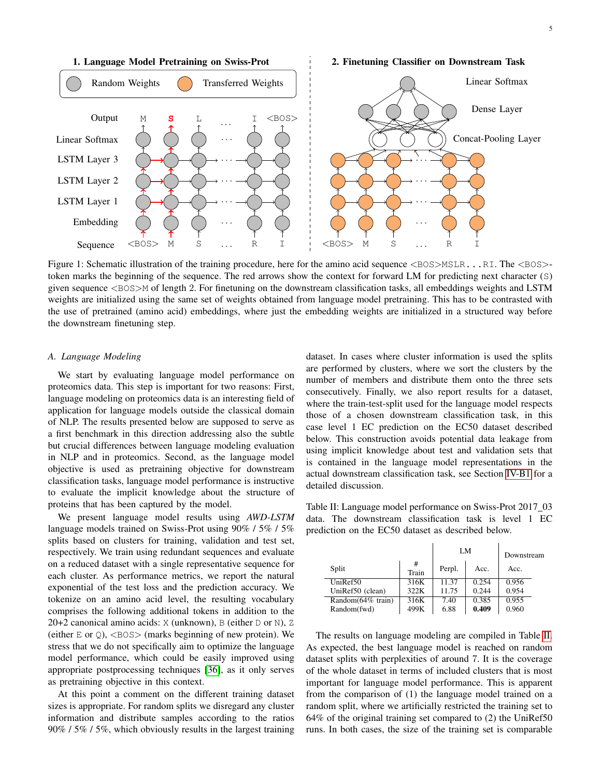<span id="page-4-0"></span>

Figure 1: Schematic illustration of the training procedure, here for the amino acid sequence <BOS>MSLR...RI. The <BOS>token marks the beginning of the sequence. The red arrows show the context for forward LM for predicting next character (S) given sequence  $\langle BOS \rangle$ M of length 2. For finetuning on the downstream classification tasks, all embeddings weights and LSTM weights are initialized using the same set of weights obtained from language model pretraining. This has to be contrasted with the use of pretrained (amino acid) embeddings, where just the embedding weights are initialized in a structured way before the downstream finetuning step.

#### <span id="page-4-1"></span>*A. Language Modeling*

We start by evaluating language model performance on proteomics data. This step is important for two reasons: First, language modeling on proteomics data is an interesting field of application for language models outside the classical domain of NLP. The results presented below are supposed to serve as a first benchmark in this direction addressing also the subtle but crucial differences between language modeling evaluation in NLP and in proteomics. Second, as the language model objective is used as pretraining objective for downstream classification tasks, language model performance is instructive to evaluate the implicit knowledge about the structure of proteins that has been captured by the model.

We present language model results using *AWD-LSTM* language models trained on Swiss-Prot using 90% / 5% / 5% splits based on clusters for training, validation and test set, respectively. We train using redundant sequences and evaluate on a reduced dataset with a single representative sequence for each cluster. As performance metrics, we report the natural exponential of the test loss and the prediction accuracy. We tokenize on an amino acid level, the resulting vocabulary comprises the following additional tokens in addition to the 20+2 canonical amino acids: X (unknown), B (either D or N), Z (either  $E$  or  $Q$ ),  $\langle BOS \rangle$  (marks beginning of new protein). We stress that we do not specifically aim to optimize the language model performance, which could be easily improved using appropriate postprocessing techniques [\[36\]](#page-11-15), as it only serves as pretraining objective in this context.

At this point a comment on the different training dataset sizes is appropriate. For random splits we disregard any cluster information and distribute samples according to the ratios 90% / 5% / 5%, which obviously results in the largest training

dataset. In cases where cluster information is used the splits are performed by clusters, where we sort the clusters by the number of members and distribute them onto the three sets consecutively. Finally, we also report results for a dataset, where the train-test-split used for the language model respects those of a chosen downstream classification task, in this case level 1 EC prediction on the EC50 dataset described below. This construction avoids potential data leakage from using implicit knowledge about test and validation sets that is contained in the language model representations in the actual downstream classification task, see Section [IV-B1](#page-5-1) for a detailed discussion.

<span id="page-4-2"></span>Table II: Language model performance on Swiss-Prot 2017\_03 data. The downstream classification task is level 1 EC prediction on the EC50 dataset as described below.

|                              |            |        | LM    | Downstream |
|------------------------------|------------|--------|-------|------------|
| Split                        | #<br>Train | Perpl. | Acc.  | Acc.       |
| UniRef50                     | 316K       | 11.37  | 0.254 | 0.956      |
| UniRef50 (clean)             | 322K       | 11.75  | 0.244 | 0.954      |
| Random( $\sqrt{64\%}$ train) | 316K       | 7.40   | 0.385 | 0.955      |
| Random(fwd)                  | 499K       | 6.88   | 0.409 | 0.960      |

The results on language modeling are compiled in Table [II.](#page-4-2) As expected, the best language model is reached on random dataset splits with perplexities of around 7. It is the coverage of the whole dataset in terms of included clusters that is most important for language model performance. This is apparent from the comparison of (1) the language model trained on a random split, where we artificially restricted the training set to 64% of the original training set compared to (2) the UniRef50 runs. In both cases, the size of the training set is comparable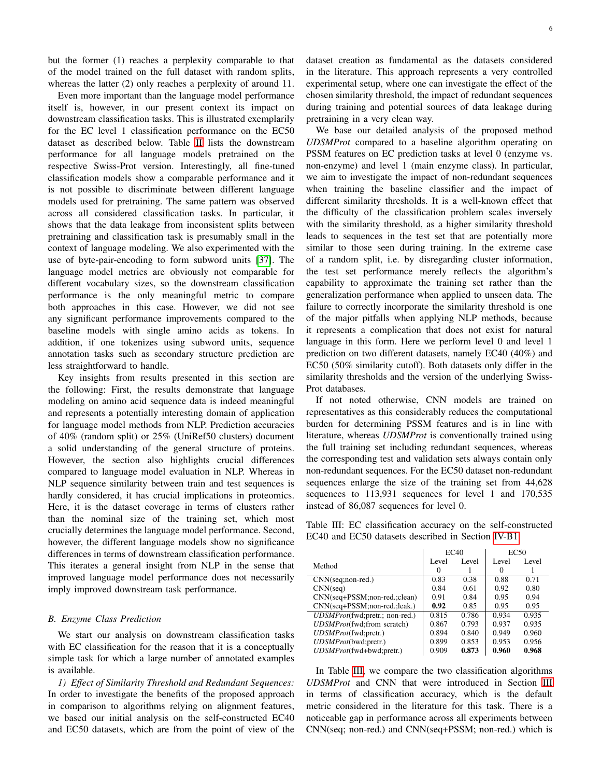but the former (1) reaches a perplexity comparable to that of the model trained on the full dataset with random splits, whereas the latter (2) only reaches a perplexity of around 11.

Even more important than the language model performance itself is, however, in our present context its impact on downstream classification tasks. This is illustrated exemplarily for the EC level 1 classification performance on the EC50 dataset as described below. Table [II](#page-4-2) lists the downstream performance for all language models pretrained on the respective Swiss-Prot version. Interestingly, all fine-tuned classification models show a comparable performance and it is not possible to discriminate between different language models used for pretraining. The same pattern was observed across all considered classification tasks. In particular, it shows that the data leakage from inconsistent splits between pretraining and classification task is presumably small in the context of language modeling. We also experimented with the use of byte-pair-encoding to form subword units [\[37\]](#page-11-16). The language model metrics are obviously not comparable for different vocabulary sizes, so the downstream classification performance is the only meaningful metric to compare both approaches in this case. However, we did not see any significant performance improvements compared to the baseline models with single amino acids as tokens. In addition, if one tokenizes using subword units, sequence annotation tasks such as secondary structure prediction are less straightforward to handle.

Key insights from results presented in this section are the following: First, the results demonstrate that language modeling on amino acid sequence data is indeed meaningful and represents a potentially interesting domain of application for language model methods from NLP. Prediction accuracies of 40% (random split) or 25% (UniRef50 clusters) document a solid understanding of the general structure of proteins. However, the section also highlights crucial differences compared to language model evaluation in NLP. Whereas in NLP sequence similarity between train and test sequences is hardly considered, it has crucial implications in proteomics. Here, it is the dataset coverage in terms of clusters rather than the nominal size of the training set, which most crucially determines the language model performance. Second, however, the different language models show no significance differences in terms of downstream classification performance. This iterates a general insight from NLP in the sense that improved language model performance does not necessarily imply improved downstream task performance.

#### <span id="page-5-0"></span>*B. Enzyme Class Prediction*

We start our analysis on downstream classification tasks with EC classification for the reason that it is a conceptually simple task for which a large number of annotated examples is available.

<span id="page-5-1"></span>*1) Effect of Similarity Threshold and Redundant Sequences:* In order to investigate the benefits of the proposed approach in comparison to algorithms relying on alignment features, we based our initial analysis on the self-constructed EC40 and EC50 datasets, which are from the point of view of the dataset creation as fundamental as the datasets considered in the literature. This approach represents a very controlled experimental setup, where one can investigate the effect of the chosen similarity threshold, the impact of redundant sequences during training and potential sources of data leakage during pretraining in a very clean way.

We base our detailed analysis of the proposed method *UDSMProt* compared to a baseline algorithm operating on PSSM features on EC prediction tasks at level 0 (enzyme vs. non-enzyme) and level 1 (main enzyme class). In particular, we aim to investigate the impact of non-redundant sequences when training the baseline classifier and the impact of different similarity thresholds. It is a well-known effect that the difficulty of the classification problem scales inversely with the similarity threshold, as a higher similarity threshold leads to sequences in the test set that are potentially more similar to those seen during training. In the extreme case of a random split, i.e. by disregarding cluster information, the test set performance merely reflects the algorithm's capability to approximate the training set rather than the generalization performance when applied to unseen data. The failure to correctly incorporate the similarity threshold is one of the major pitfalls when applying NLP methods, because it represents a complication that does not exist for natural language in this form. Here we perform level 0 and level 1 prediction on two different datasets, namely EC40 (40%) and EC50 (50% similarity cutoff). Both datasets only differ in the similarity thresholds and the version of the underlying Swiss-Prot databases.

If not noted otherwise, CNN models are trained on representatives as this considerably reduces the computational burden for determining PSSM features and is in line with literature, whereas *UDSMProt* is conventionally trained using the full training set including redundant sequences, whereas the corresponding test and validation sets always contain only non-redundant sequences. For the EC50 dataset non-redundant sequences enlarge the size of the training set from 44,628 sequences to 113,931 sequences for level 1 and 170,535 instead of 86,087 sequences for level 0.

<span id="page-5-2"></span>Table III: EC classification accuracy on the self-constructed EC40 and EC50 datasets described in Section [IV-B1.](#page-5-1)

|                                | EC40  |       |       | EC <sub>50</sub> |
|--------------------------------|-------|-------|-------|------------------|
| Method                         | Level | Level | Level | Level            |
|                                | 0     |       | 0     |                  |
| $CNN(seq; non-red.)$           | 0.83  | 0.38  | 0.88  | 0.71             |
| CNN(seq)                       | 0.84  | 0.61  | 0.92  | 0.80             |
| CNN(seq+PSSM;non-red.;clean)   | 0.91  | 0.84  | 0.95  | 0.94             |
| CNN(seq+PSSM;non-red.;leak.)   | 0.92  | 0.85  | 0.95  | 0.95             |
| UDSMProt(fwd;pretr.; non-red.) | 0.815 | 0.786 | 0.934 | 0.935            |
| UDSMProt(fwd;from scratch)     | 0.867 | 0.793 | 0.937 | 0.935            |
| UDSMProt(fwd:pretr.)           | 0.894 | 0.840 | 0.949 | 0.960            |
| UDSMProt(bwd;pretr.)           | 0.899 | 0.853 | 0.953 | 0.956            |
| UDSMProt(fwd+bwd:pretr.)       | 0.909 | 0.873 | 0.960 | 0.968            |

In Table [III,](#page-5-2) we compare the two classification algorithms *UDSMProt* and CNN that were introduced in Section [III](#page-2-0) in terms of classification accuracy, which is the default metric considered in the literature for this task. There is a noticeable gap in performance across all experiments between CNN(seq; non-red.) and CNN(seq+PSSM; non-red.) which is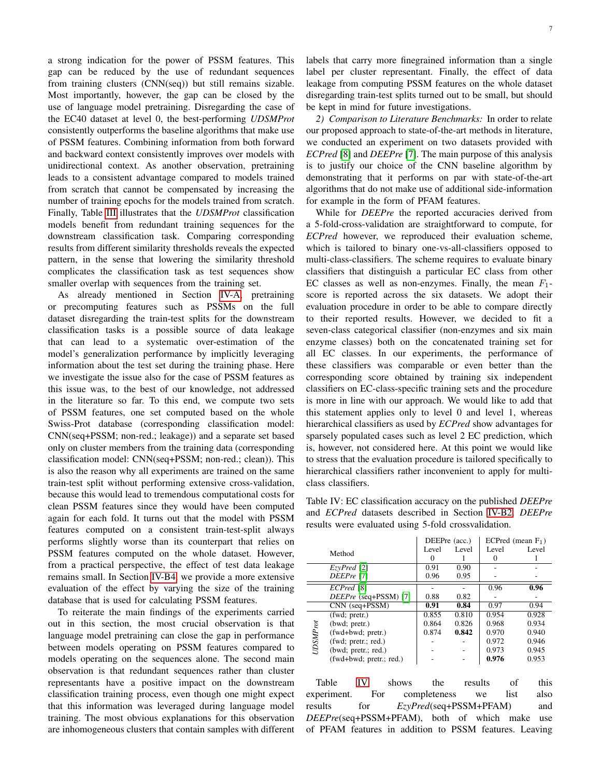a strong indication for the power of PSSM features. This gap can be reduced by the use of redundant sequences from training clusters (CNN(seq)) but still remains sizable. Most importantly, however, the gap can be closed by the use of language model pretraining. Disregarding the case of the EC40 dataset at level 0, the best-performing *UDSMProt* consistently outperforms the baseline algorithms that make use of PSSM features. Combining information from both forward and backward context consistently improves over models with unidirectional context. As another observation, pretraining leads to a consistent advantage compared to models trained from scratch that cannot be compensated by increasing the number of training epochs for the models trained from scratch. Finally, Table [III](#page-5-2) illustrates that the *UDSMProt* classification models benefit from redundant training sequences for the downstream classification task. Comparing corresponding results from different similarity thresholds reveals the expected pattern, in the sense that lowering the similarity threshold complicates the classification task as test sequences show smaller overlap with sequences from the training set.

As already mentioned in Section [IV-A,](#page-4-1) pretraining or precomputing features such as PSSMs on the full dataset disregarding the train-test splits for the downstream classification tasks is a possible source of data leakage that can lead to a systematic over-estimation of the model's generalization performance by implicitly leveraging information about the test set during the training phase. Here we investigate the issue also for the case of PSSM features as this issue was, to the best of our knowledge, not addressed in the literature so far. To this end, we compute two sets of PSSM features, one set computed based on the whole Swiss-Prot database (corresponding classification model: CNN(seq+PSSM; non-red.; leakage)) and a separate set based only on cluster members from the training data (corresponding classification model: CNN(seq+PSSM; non-red.; clean)). This is also the reason why all experiments are trained on the same train-test split without performing extensive cross-validation, because this would lead to tremendous computational costs for clean PSSM features since they would have been computed again for each fold. It turns out that the model with PSSM features computed on a consistent train-test-split always performs slightly worse than its counterpart that relies on PSSM features computed on the whole dataset. However, from a practical perspective, the effect of test data leakage remains small. In Section [IV-B4,](#page-7-1) we provide a more extensive evaluation of the effect by varying the size of the training database that is used for calculating PSSM features.

To reiterate the main findings of the experiments carried out in this section, the most crucial observation is that language model pretraining can close the gap in performance between models operating on PSSM features compared to models operating on the sequences alone. The second main observation is that redundant sequences rather than cluster representants have a positive impact on the downstream classification training process, even though one might expect that this information was leveraged during language model training. The most obvious explanations for this observation are inhomogeneous clusters that contain samples with different labels that carry more finegrained information than a single label per cluster representant. Finally, the effect of data leakage from computing PSSM features on the whole dataset disregarding train-test splits turned out to be small, but should be kept in mind for future investigations.

<span id="page-6-0"></span>*2) Comparison to Literature Benchmarks:* In order to relate our proposed approach to state-of-the-art methods in literature, we conducted an experiment on two datasets provided with *ECPred* [\[8\]](#page-10-2) and *DEEPre* [\[7\]](#page-10-10). The main purpose of this analysis is to justify our choice of the CNN baseline algorithm by demonstrating that it performs on par with state-of-the-art algorithms that do not make use of additional side-information for example in the form of PFAM features.

While for *DEEPre* the reported accuracies derived from a 5-fold-cross-validation are straightforward to compute, for *ECPred* however, we reproduced their evaluation scheme, which is tailored to binary one-vs-all-classifiers opposed to multi-class-classifiers. The scheme requires to evaluate binary classifiers that distinguish a particular EC class from other EC classes as well as non-enzymes. Finally, the mean  $F_1$ score is reported across the six datasets. We adopt their evaluation procedure in order to be able to compare directly to their reported results. However, we decided to fit a seven-class categorical classifier (non-enzymes and six main enzyme classes) both on the concatenated training set for all EC classes. In our experiments, the performance of these classifiers was comparable or even better than the corresponding score obtained by training six independent classifiers on EC-class-specific training sets and the procedure is more in line with our approach. We would like to add that this statement applies only to level 0 and level 1, whereas hierarchical classifiers as used by *ECPred* show advantages for sparsely populated cases such as level 2 EC prediction, which is, however, not considered here. At this point we would like to stress that the evaluation procedure is tailored specifically to hierarchical classifiers rather inconvenient to apply for multiclass classifiers.

<span id="page-6-1"></span>Table IV: EC classification accuracy on the published *DEEPre* and *ECPred* datasets described in Section [IV-B2.](#page-6-0) *DEEPre* results were evaluated using 5-fold crossvalidation.

|                 |                            | DEEPre (acc.) |       |       | ECPred (mean $F_1$ ) |
|-----------------|----------------------------|---------------|-------|-------|----------------------|
|                 | Method                     | Level         | Level | Level | Level                |
|                 |                            | $\theta$      |       |       |                      |
|                 | $\overline{ExyPred}$ [2]   | 0.91          | 0.90  |       |                      |
|                 | DEEPre [7]                 | 0.96          | 0.95  |       |                      |
|                 | ECPred [8]                 |               |       | 0.96  | 0.96                 |
|                 | DEEPre (seq+PSSM) [7]      | 0.88          | 0.82  |       |                      |
|                 | $CNN$ (seq+ $PSSM$ )       | 0.91          | 0.84  | 0.97  | 0.94                 |
|                 | (fwd; pretr.)              | 0.855         | 0.810 | 0.954 | 0.928                |
| <b>UDSMProt</b> | (bwd; pretr.)              | 0.864         | 0.826 | 0.968 | 0.934                |
|                 | (fwd+bwd; pretr.)          | 0.874         | 0.842 | 0.970 | 0.940                |
|                 | (fwd; pretr.; red.)        |               |       | 0.972 | 0.946                |
|                 | (bwd; pretr.; red.)        |               |       | 0.973 | 0.945                |
|                 | $(fwd+ bwd; pretr.; red.)$ |               |       | 0.976 | 0.953                |

Table [IV](#page-6-1) shows the results of this experiment. For completeness we list also results for *EzyPred*(seq+PSSM+PFAM) and *DEEPre*(seq+PSSM+PFAM), both of which make use of PFAM features in addition to PSSM features. Leaving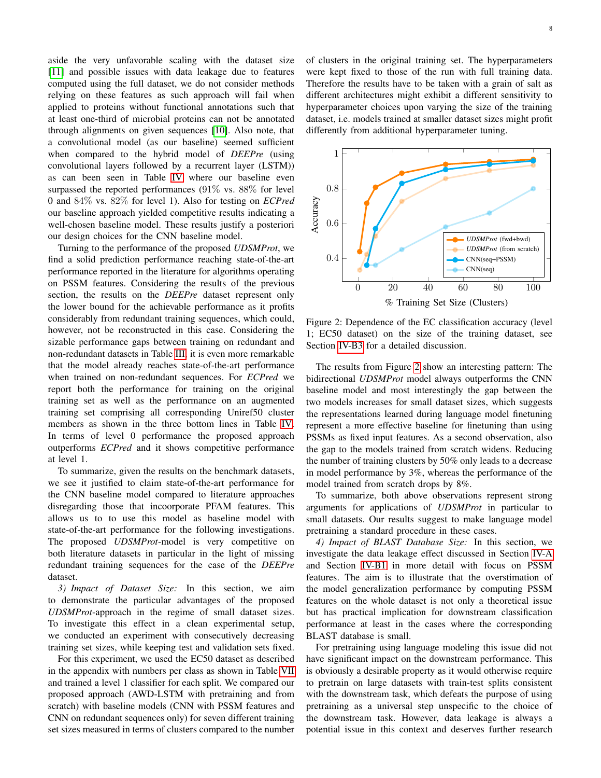aside the very unfavorable scaling with the dataset size [\[11\]](#page-10-5) and possible issues with data leakage due to features computed using the full dataset, we do not consider methods relying on these features as such approach will fail when applied to proteins without functional annotations such that at least one-third of microbial proteins can not be annotated through alignments on given sequences [\[10\]](#page-10-4). Also note, that a convolutional model (as our baseline) seemed sufficient when compared to the hybrid model of *DEEPre* (using convolutional layers followed by a recurrent layer (LSTM)) as can been seen in Table [IV](#page-6-1) where our baseline even surpassed the reported performances (91% vs. 88% for level 0 and 84% vs. 82% for level 1). Also for testing on *ECPred* our baseline approach yielded competitive results indicating a well-chosen baseline model. These results justify a posteriori our design choices for the CNN baseline model.

Turning to the performance of the proposed *UDSMProt*, we find a solid prediction performance reaching state-of-the-art performance reported in the literature for algorithms operating on PSSM features. Considering the results of the previous section, the results on the *DEEPre* dataset represent only the lower bound for the achievable performance as it profits considerably from redundant training sequences, which could, however, not be reconstructed in this case. Considering the sizable performance gaps between training on redundant and non-redundant datasets in Table [III,](#page-5-2) it is even more remarkable that the model already reaches state-of-the-art performance when trained on non-redundant sequences. For *ECPred* we report both the performance for training on the original training set as well as the performance on an augmented training set comprising all corresponding Uniref50 cluster members as shown in the three bottom lines in Table [IV.](#page-6-1) In terms of level 0 performance the proposed approach outperforms *ECPred* and it shows competitive performance at level 1.

To summarize, given the results on the benchmark datasets, we see it justified to claim state-of-the-art performance for the CNN baseline model compared to literature approaches disregarding those that incoorporate PFAM features. This allows us to to use this model as baseline model with state-of-the-art performance for the following investigations. The proposed *UDSMProt*-model is very competitive on both literature datasets in particular in the light of missing redundant training sequences for the case of the *DEEPre* dataset.

<span id="page-7-0"></span>*3) Impact of Dataset Size:* In this section, we aim to demonstrate the particular advantages of the proposed *UDSMProt*-approach in the regime of small dataset sizes. To investigate this effect in a clean experimental setup, we conducted an experiment with consecutively decreasing training set sizes, while keeping test and validation sets fixed.

For this experiment, we used the EC50 dataset as described in the appendix with numbers per class as shown in Table [VII](#page-12-0) and trained a level 1 classifier for each split. We compared our proposed approach (AWD-LSTM with pretraining and from scratch) with baseline models (CNN with PSSM features and CNN on redundant sequences only) for seven different training set sizes measured in terms of clusters compared to the number of clusters in the original training set. The hyperparameters were kept fixed to those of the run with full training data. Therefore the results have to be taken with a grain of salt as different architectures might exhibit a different sensitivity to hyperparameter choices upon varying the size of the training dataset, i.e. models trained at smaller dataset sizes might profit differently from additional hyperparameter tuning.

<span id="page-7-2"></span>

Figure 2: Dependence of the EC classification accuracy (level 1; EC50 dataset) on the size of the training dataset, see Section [IV-B3](#page-7-0) for a detailed discussion.

The results from Figure [2](#page-7-2) show an interesting pattern: The bidirectional *UDSMProt* model always outperforms the CNN baseline model and most interestingly the gap between the two models increases for small dataset sizes, which suggests the representations learned during language model finetuning represent a more effective baseline for finetuning than using PSSMs as fixed input features. As a second observation, also the gap to the models trained from scratch widens. Reducing the number of training clusters by 50% only leads to a decrease in model performance by 3%, whereas the performance of the model trained from scratch drops by 8%.

To summarize, both above observations represent strong arguments for applications of *UDSMProt* in particular to small datasets. Our results suggest to make language model pretraining a standard procedure in these cases.

<span id="page-7-1"></span>*4) Impact of BLAST Database Size:* In this section, we investigate the data leakage effect discussed in Section [IV-A](#page-4-1) and Section [IV-B1](#page-5-1) in more detail with focus on PSSM features. The aim is to illustrate that the overstimation of the model generalization performance by computing PSSM features on the whole dataset is not only a theoretical issue but has practical implication for downstream classification performance at least in the cases where the corresponding BLAST database is small.

For pretraining using language modeling this issue did not have significant impact on the downstream performance. This is obviously a desirable property as it would otherwise require to pretrain on large datasets with train-test splits consistent with the downstream task, which defeats the purpose of using pretraining as a universal step unspecific to the choice of the downstream task. However, data leakage is always a potential issue in this context and deserves further research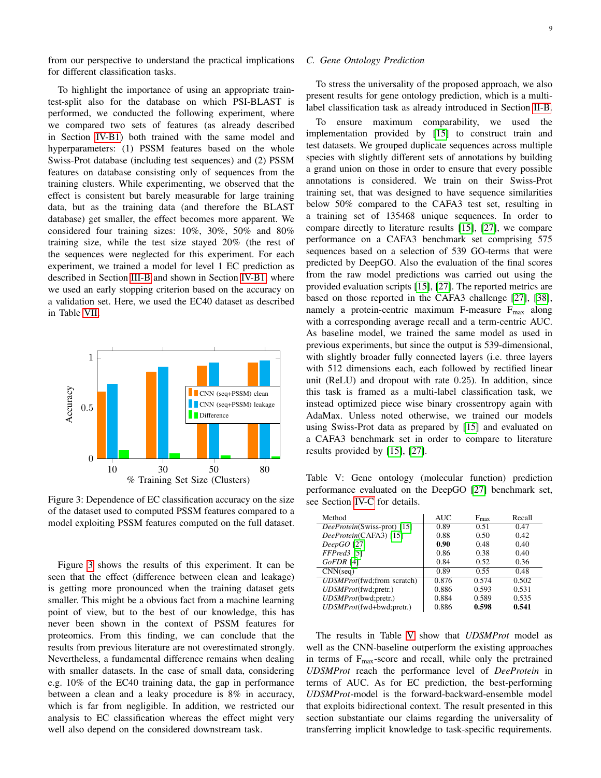from our perspective to understand the practical implications for different classification tasks.

To highlight the importance of using an appropriate traintest-split also for the database on which PSI-BLAST is performed, we conducted the following experiment, where we compared two sets of features (as already described in Section [IV-B1\)](#page-5-1) both trained with the same model and hyperparameters: (1) PSSM features based on the whole Swiss-Prot database (including test sequences) and (2) PSSM features on database consisting only of sequences from the training clusters. While experimenting, we observed that the effect is consistent but barely measurable for large training data, but as the training data (and therefore the BLAST database) get smaller, the effect becomes more apparent. We considered four training sizes: 10%, 30%, 50% and 80% training size, while the test size stayed 20% (the rest of the sequences were neglected for this experiment. For each experiment, we trained a model for level 1 EC prediction as described in Section [III-B](#page-3-1) and shown in Section [IV-B1,](#page-5-1) where we used an early stopping criterion based on the accuracy on a validation set. Here, we used the EC40 dataset as described in Table [VII.](#page-12-0)

<span id="page-8-1"></span>

Figure 3: Dependence of EC classification accuracy on the size of the dataset used to computed PSSM features compared to a model exploiting PSSM features computed on the full dataset.

Figure [3](#page-8-1) shows the results of this experiment. It can be seen that the effect (difference between clean and leakage) is getting more pronounced when the training dataset gets smaller. This might be a obvious fact from a machine learning point of view, but to the best of our knowledge, this has never been shown in the context of PSSM features for proteomics. From this finding, we can conclude that the results from previous literature are not overestimated strongly. Nevertheless, a fundamental difference remains when dealing with smaller datasets. In the case of small data, considering e.g. 10% of the EC40 training data, the gap in performance between a clean and a leaky procedure is 8% in accuracy, which is far from negligible. In addition, we restricted our analysis to EC classification whereas the effect might very well also depend on the considered downstream task.

## <span id="page-8-0"></span>*C. Gene Ontology Prediction*

To stress the universality of the proposed approach, we also present results for gene ontology prediction, which is a multilabel classification task as already introduced in Section [II-B.](#page-1-1)

To ensure maximum comparability, we used the implementation provided by [\[15\]](#page-10-7) to construct train and test datasets. We grouped duplicate sequences across multiple species with slightly different sets of annotations by building a grand union on those in order to ensure that every possible annotations is considered. We train on their Swiss-Prot training set, that was designed to have sequence similarities below 50% compared to the CAFA3 test set, resulting in a training set of 135468 unique sequences. In order to compare directly to literature results [\[15\]](#page-10-7), [\[27\]](#page-11-5), we compare performance on a CAFA3 benchmark set comprising 575 sequences based on a selection of 539 GO-terms that were predicted by DeepGO. Also the evaluation of the final scores from the raw model predictions was carried out using the provided evaluation scripts [\[15\]](#page-10-7), [\[27\]](#page-11-5). The reported metrics are based on those reported in the CAFA3 challenge [\[27\]](#page-11-5), [\[38\]](#page-11-17), namely a protein-centric maximum F-measure  $F_{\text{max}}$  along with a corresponding average recall and a term-centric AUC. As baseline model, we trained the same model as used in previous experiments, but since the output is 539-dimensional, with slightly broader fully connected layers (i.e. three layers with 512 dimensions each, each followed by rectified linear unit (ReLU) and dropout with rate 0.25). In addition, since this task is framed as a multi-label classification task, we instead optimized piece wise binary crossentropy again with AdaMax. Unless noted otherwise, we trained our models using Swiss-Prot data as prepared by [\[15\]](#page-10-7) and evaluated on a CAFA3 benchmark set in order to compare to literature results provided by [\[15\]](#page-10-7), [\[27\]](#page-11-5).

<span id="page-8-2"></span>Table V: Gene ontology (molecular function) prediction performance evaluated on the DeepGO [\[27\]](#page-11-5) benchmark set, see Section [IV-C](#page-8-0) for details.

| Method                              | AUC   | $F_{\text{max}}$ | Recall |
|-------------------------------------|-------|------------------|--------|
| <i>DeeProtein</i> (Swiss-prot) [15] | 0.89  | 0.51             | 0.47   |
| DeeProtein(CAFA3) [15]              | 0.88  | 0.50             | 0.42   |
| $DeepGO$ [27]                       | 0.90  | 0.48             | 0.40   |
| FFPred3 [5]                         | 0.86  | 0.38             | 0.40   |
| GoFDR [4]                           | 0.84  | 0.52             | 0.36   |
| CNN(seq)                            | 0.89  | 0.55             | 0.48   |
| UDSMProt(fwd;from scratch)          | 0.876 | 0.574            | 0.502  |
| UDSMProt(fwd;pretr.)                | 0.886 | 0.593            | 0.531  |
| UDSMProt(bwd;pretr.)                | 0.884 | 0.589            | 0.535  |
| UDSMProt(fwd+bwd;pretr.)            | 0.886 | 0.598            | 0.541  |

The results in Table [V](#page-8-2) show that *UDSMProt* model as well as the CNN-baseline outperform the existing approaches in terms of  $F_{\text{max}}$ -score and recall, while only the pretrained *UDSMProt* reach the performance level of *DeeProtein* in terms of AUC. As for EC prediction, the best-performing *UDSMProt*-model is the forward-backward-ensemble model that exploits bidirectional context. The result presented in this section substantiate our claims regarding the universality of transferring implicit knowledge to task-specific requirements.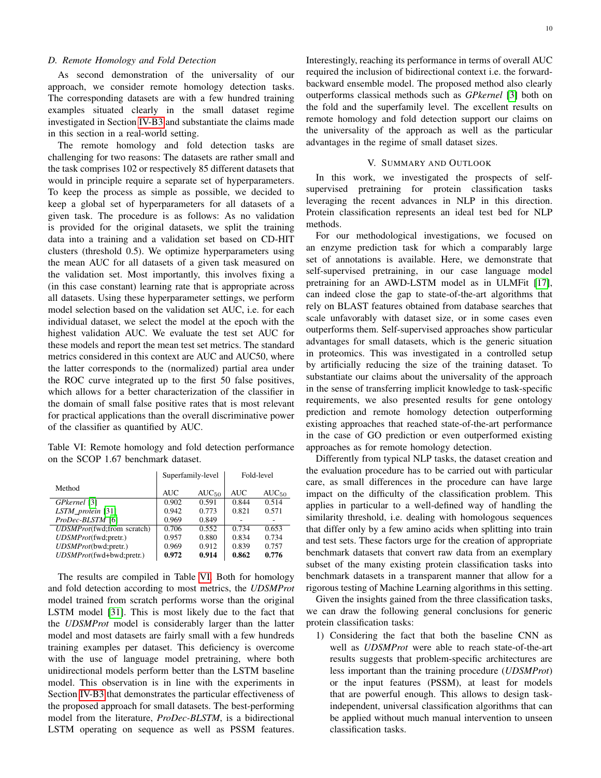## <span id="page-9-0"></span>*D. Remote Homology and Fold Detection*

As second demonstration of the universality of our approach, we consider remote homology detection tasks. The corresponding datasets are with a few hundred training examples situated clearly in the small dataset regime investigated in Section [IV-B3](#page-7-0) and substantiate the claims made in this section in a real-world setting.

The remote homology and fold detection tasks are challenging for two reasons: The datasets are rather small and the task comprises 102 or respectively 85 different datasets that would in principle require a separate set of hyperparameters. To keep the process as simple as possible, we decided to keep a global set of hyperparameters for all datasets of a given task. The procedure is as follows: As no validation is provided for the original datasets, we split the training data into a training and a validation set based on CD-HIT clusters (threshold 0.5). We optimize hyperparameters using the mean AUC for all datasets of a given task measured on the validation set. Most importantly, this involves fixing a (in this case constant) learning rate that is appropriate across all datasets. Using these hyperparameter settings, we perform model selection based on the validation set AUC, i.e. for each individual dataset, we select the model at the epoch with the highest validation AUC. We evaluate the test set AUC for these models and report the mean test set metrics. The standard metrics considered in this context are AUC and AUC50, where the latter corresponds to the (normalized) partial area under the ROC curve integrated up to the first 50 false positives, which allows for a better characterization of the classifier in the domain of small false positive rates that is most relevant for practical applications than the overall discriminative power of the classifier as quantified by AUC.

<span id="page-9-1"></span>Table VI: Remote homology and fold detection performance on the SCOP 1.67 benchmark dataset.

|                            | Superfamily-level |            | Fold-level |            |
|----------------------------|-------------------|------------|------------|------------|
| Method                     | <b>AUC</b>        | $AUC_{50}$ | AUC        | $AUC_{50}$ |
| GPkernel [3]               | 0.902             | 0.591      | 0.844      | 0.514      |
| $LSTM\_protein$ [31]       | 0.942             | 0.773      | 0.821      | 0.571      |
| ProDec-BLSTM [6]           | 0.969             | 0.849      |            |            |
| UDSMProt(fwd;from scratch) | 0.706             | 0.552      | 0.734      | 0.653      |
| UDSMProt(fwd;pretr.)       | 0.957             | 0.880      | 0.834      | 0.734      |
| UDSMProt(bwd;pretr.)       | 0.969             | 0.912      | 0.839      | 0.757      |
| UDSMProt(fwd+bwd;pretr.)   | 0.972             | 0.914      | 0.862      | 0.776      |

The results are compiled in Table [VI.](#page-9-1) Both for homology and fold detection according to most metrics, the *UDSMProt* model trained from scratch performs worse than the original LSTM model [\[31\]](#page-11-9). This is most likely due to the fact that the *UDSMProt* model is considerably larger than the latter model and most datasets are fairly small with a few hundreds training examples per dataset. This deficiency is overcome with the use of language model pretraining, where both unidirectional models perform better than the LSTM baseline model. This observation is in line with the experiments in Section [IV-B3](#page-7-0) that demonstrates the particular effectiveness of the proposed approach for small datasets. The best-performing model from the literature, *ProDec-BLSTM*, is a bidirectional LSTM operating on sequence as well as PSSM features. Interestingly, reaching its performance in terms of overall AUC required the inclusion of bidirectional context i.e. the forwardbackward ensemble model. The proposed method also clearly outperforms classical methods such as *GPkernel* [\[3\]](#page-10-14) both on the fold and the superfamily level. The excellent results on remote homology and fold detection support our claims on the universality of the approach as well as the particular advantages in the regime of small dataset sizes.

#### V. SUMMARY AND OUTLOOK

In this work, we investigated the prospects of selfsupervised pretraining for protein classification tasks leveraging the recent advances in NLP in this direction. Protein classification represents an ideal test bed for NLP methods.

For our methodological investigations, we focused on an enzyme prediction task for which a comparably large set of annotations is available. Here, we demonstrate that self-supervised pretraining, in our case language model pretraining for an AWD-LSTM model as in ULMFit [\[17\]](#page-11-11), can indeed close the gap to state-of-the-art algorithms that rely on BLAST features obtained from database searches that scale unfavorably with dataset size, or in some cases even outperforms them. Self-supervised approaches show particular advantages for small datasets, which is the generic situation in proteomics. This was investigated in a controlled setup by artificially reducing the size of the training dataset. To substantiate our claims about the universality of the approach in the sense of transferring implicit knowledge to task-specific requirements, we also presented results for gene ontology prediction and remote homology detection outperforming existing approaches that reached state-of-the-art performance in the case of GO prediction or even outperformed existing approaches as for remote homology detection.

Differently from typical NLP tasks, the dataset creation and the evaluation procedure has to be carried out with particular care, as small differences in the procedure can have large impact on the difficulty of the classification problem. This applies in particular to a well-defined way of handling the similarity threshold, i.e. dealing with homologous sequences that differ only by a few amino acids when splitting into train and test sets. These factors urge for the creation of appropriate benchmark datasets that convert raw data from an exemplary subset of the many existing protein classification tasks into benchmark datasets in a transparent manner that allow for a rigorous testing of Machine Learning algorithms in this setting.

Given the insights gained from the three classification tasks, we can draw the following general conclusions for generic protein classification tasks:

1) Considering the fact that both the baseline CNN as well as *UDSMProt* were able to reach state-of-the-art results suggests that problem-specific architectures are less important than the training procedure (*UDSMProt*) or the input features (PSSM), at least for models that are powerful enough. This allows to design taskindependent, universal classification algorithms that can be applied without much manual intervention to unseen classification tasks.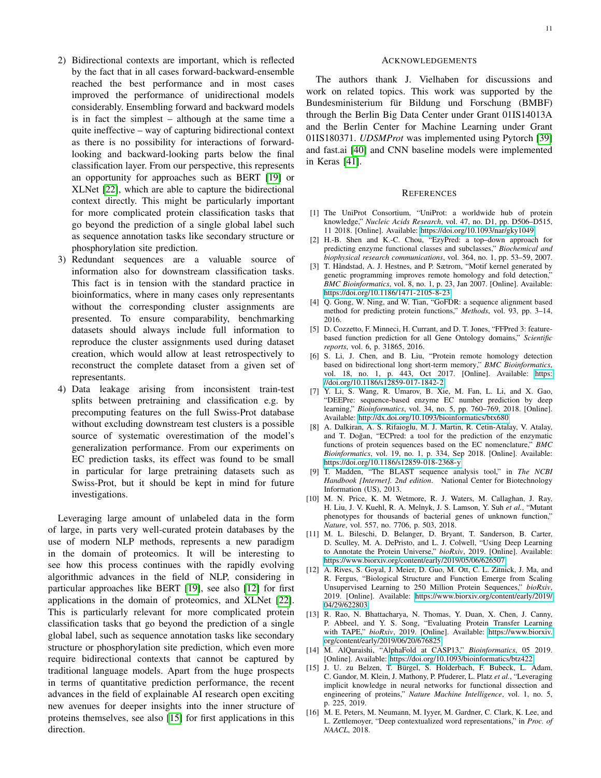- 2) Bidirectional contexts are important, which is reflected by the fact that in all cases forward-backward-ensemble reached the best performance and in most cases improved the performance of unidirectional models considerably. Ensembling forward and backward models is in fact the simplest – although at the same time a quite ineffective – way of capturing bidirectional context as there is no possibility for interactions of forwardlooking and backward-looking parts below the final classification layer. From our perspective, this represents an opportunity for approaches such as BERT [\[19\]](#page-11-18) or XLNet [\[22\]](#page-11-0), which are able to capture the bidirectional context directly. This might be particularly important for more complicated protein classification tasks that go beyond the prediction of a single global label such as sequence annotation tasks like secondary structure or phosphorylation site prediction.
- 3) Redundant sequences are a valuable source of information also for downstream classification tasks. This fact is in tension with the standard practice in bioinformatics, where in many cases only representants without the corresponding cluster assignments are presented. To ensure comparability, benchmarking datasets should always include full information to reproduce the cluster assignments used during dataset creation, which would allow at least retrospectively to reconstruct the complete dataset from a given set of representants.
- 4) Data leakage arising from inconsistent train-test splits between pretraining and classification e.g. by precomputing features on the full Swiss-Prot database without excluding downstream test clusters is a possible source of systematic overestimation of the model's generalization performance. From our experiments on EC prediction tasks, its effect was found to be small in particular for large pretraining datasets such as Swiss-Prot, but it should be kept in mind for future investigations.

Leveraging large amount of unlabeled data in the form of large, in parts very well-curated protein databases by the use of modern NLP methods, represents a new paradigm in the domain of proteomics. It will be interesting to see how this process continues with the rapidly evolving algorithmic advances in the field of NLP, considering in particular approaches like BERT [\[19\]](#page-11-18), see also [\[12\]](#page-10-9) for first applications in the domain of proteomics, and XLNet [\[22\]](#page-11-0). This is particularly relevant for more complicated protein classification tasks that go beyond the prediction of a single global label, such as sequence annotation tasks like secondary structure or phosphorylation site prediction, which even more require bidirectional contexts that cannot be captured by traditional language models. Apart from the huge prospects in terms of quantitative prediction performance, the recent advances in the field of explainable AI research open exciting new avenues for deeper insights into the inner structure of proteins themselves, see also [\[15\]](#page-10-7) for first applications in this direction.

#### ACKNOWLEDGEMENTS

The authors thank J. Vielhaben for discussions and work on related topics. This work was supported by the Bundesministerium für Bildung und Forschung (BMBF) through the Berlin Big Data Center under Grant 01IS14013A and the Berlin Center for Machine Learning under Grant 01IS180371. *UDSMProt* was implemented using Pytorch [\[39\]](#page-11-19) and fast.ai [\[40\]](#page-11-20) and CNN baseline models were implemented in Keras [\[41\]](#page-11-21).

#### **REFERENCES**

- <span id="page-10-0"></span>[1] The UniProt Consortium, "UniProt: a worldwide hub of protein knowledge," *Nucleic Acids Research*, vol. 47, no. D1, pp. D506–D515, 11 2018. [Online]. Available:<https://doi.org/10.1093/nar/gky1049>
- <span id="page-10-1"></span>[2] H.-B. Shen and K.-C. Chou, "EzyPred: a top–down approach for predicting enzyme functional classes and subclasses," *Biochemical and biophysical research communications*, vol. 364, no. 1, pp. 53–59, 2007.
- <span id="page-10-14"></span>[3] T. Håndstad, A. J. Hestnes, and P. Sætrom, "Motif kernel generated by genetic programming improves remote homology and fold detection," *BMC Bioinformatics*, vol. 8, no. 1, p. 23, Jan 2007. [Online]. Available: <https://doi.org/10.1186/1471-2105-8-23>
- <span id="page-10-11"></span>[4] Q. Gong, W. Ning, and W. Tian, "GoFDR: a sequence alignment based method for predicting protein functions," *Methods*, vol. 93, pp. 3–14, 2016.
- <span id="page-10-12"></span>[5] D. Cozzetto, F. Minneci, H. Currant, and D. T. Jones, "FFPred 3: featurebased function prediction for all Gene Ontology domains," *Scientific reports*, vol. 6, p. 31865, 2016.
- <span id="page-10-13"></span>[6] S. Li, J. Chen, and B. Liu, "Protein remote homology detection based on bidirectional long short-term memory," *BMC Bioinformatics*, vol. 18, no. 1, p. 443, Oct 2017. [Online]. Available: [https:](https://doi.org/10.1186/s12859-017-1842-2) [//doi.org/10.1186/s12859-017-1842-2](https://doi.org/10.1186/s12859-017-1842-2)
- <span id="page-10-10"></span>[7] Y. Li, S. Wang, R. Umarov, B. Xie, M. Fan, L. Li, and X. Gao, "DEEPre: sequence-based enzyme EC number prediction by deep learning," *Bioinformatics*, vol. 34, no. 5, pp. 760–769, 2018. [Online]. Available:<http://dx.doi.org/10.1093/bioinformatics/btx680>
- <span id="page-10-2"></span>[8] A. Dalkiran, A. S. Rifaioglu, M. J. Martin, R. Cetin-Atalay, V. Atalay, and T. Doğan, "ECPred: a tool for the prediction of the enzymatic functions of protein sequences based on the EC nomenclature," *BMC Bioinformatics*, vol. 19, no. 1, p. 334, Sep 2018. [Online]. Available: <https://doi.org/10.1186/s12859-018-2368-y>
- <span id="page-10-3"></span>[9] T. Madden, "The BLAST sequence analysis tool," in *The NCBI Handbook [Internet]. 2nd edition*. National Center for Biotechnology Information (US), 2013.
- <span id="page-10-4"></span>[10] M. N. Price, K. M. Wetmore, R. J. Waters, M. Callaghan, J. Ray, H. Liu, J. V. Kuehl, R. A. Melnyk, J. S. Lamson, Y. Suh *et al.*, "Mutant phenotypes for thousands of bacterial genes of unknown function," *Nature*, vol. 557, no. 7706, p. 503, 2018.
- <span id="page-10-5"></span>[11] M. L. Bileschi, D. Belanger, D. Bryant, T. Sanderson, B. Carter, D. Sculley, M. A. DePristo, and L. J. Colwell, "Using Deep Learning to Annotate the Protein Universe," *bioRxiv*, 2019. [Online]. Available: <https://www.biorxiv.org/content/early/2019/05/06/626507>
- <span id="page-10-9"></span>[12] A. Rives, S. Goyal, J. Meier, D. Guo, M. Ott, C. L. Zitnick, J. Ma, and R. Fergus, "Biological Structure and Function Emerge from Scaling Unsupervised Learning to 250 Million Protein Sequences," *bioRxiv*, 2019. [Online]. Available: [https://www.biorxiv.org/content/early/2019/](https://www.biorxiv.org/content/early/2019/04/29/622803) [04/29/622803](https://www.biorxiv.org/content/early/2019/04/29/622803)
- <span id="page-10-6"></span>[13] R. Rao, N. Bhattacharya, N. Thomas, Y. Duan, X. Chen, J. Canny, P. Abbeel, and Y. S. Song, "Evaluating Protein Transfer Learning with TAPE," *bioRxiv*, 2019. [Online]. Available: [https://www.biorxiv.](https://www.biorxiv.org/content/early/2019/06/20/676825) [org/content/early/2019/06/20/676825](https://www.biorxiv.org/content/early/2019/06/20/676825)
- [14] M. AlQuraishi, "AlphaFold at CASP13," *Bioinformatics*, 05 2019. [Online]. Available:<https://doi.org/10.1093/bioinformatics/btz422>
- <span id="page-10-7"></span>[15] J. U. zu Belzen, T. Bürgel, S. Holderbach, F. Bubeck, L. Adam, C. Gandor, M. Klein, J. Mathony, P. Pfuderer, L. Platz *et al.*, "Leveraging implicit knowledge in neural networks for functional dissection and engineering of proteins," *Nature Machine Intelligence*, vol. 1, no. 5, p. 225, 2019.
- <span id="page-10-8"></span>[16] M. E. Peters, M. Neumann, M. Iyyer, M. Gardner, C. Clark, K. Lee, and L. Zettlemoyer, "Deep contextualized word representations," in *Proc. of NAACL*, 2018.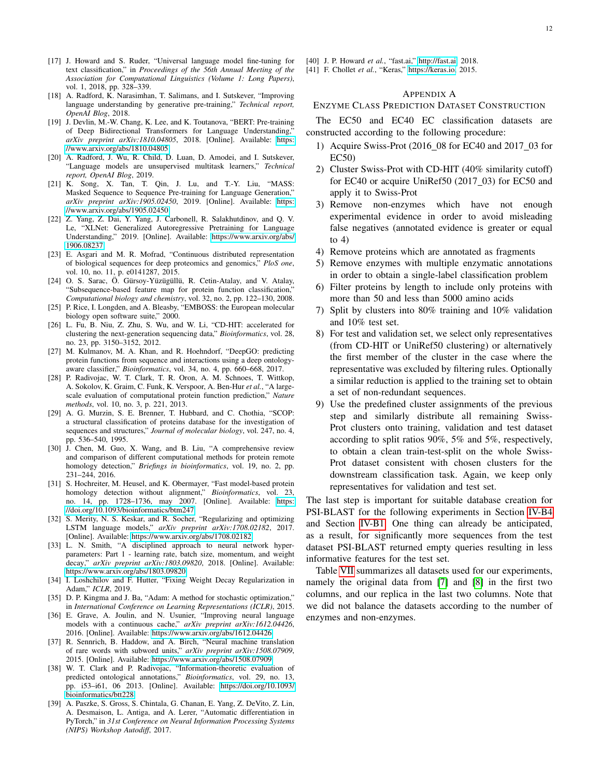- <span id="page-11-11"></span>[17] J. Howard and S. Ruder, "Universal language model fine-tuning for text classification," in *Proceedings of the 56th Annual Meeting of the Association for Computational Linguistics (Volume 1: Long Papers)*, vol. 1, 2018, pp. 328–339.
- [18] A. Radford, K. Narasimhan, T. Salimans, and I. Sutskever, "Improving language understanding by generative pre-training," *Technical report, OpenAI Blog*, 2018.
- <span id="page-11-18"></span>[19] J. Devlin, M.-W. Chang, K. Lee, and K. Toutanova, "BERT: Pre-training of Deep Bidirectional Transformers for Language Understanding,' *arXiv preprint arXiv:1810.04805*, 2018. [Online]. Available: [https:](https://www.arxiv.org/abs/1810.04805) [//www.arxiv.org/abs/1810.04805](https://www.arxiv.org/abs/1810.04805)
- [20] A. Radford, J. Wu, R. Child, D. Luan, D. Amodei, and I. Sutskever, "Language models are unsupervised multitask learners," *Technical report, OpenAI Blog*, 2019.
- [21] K. Song, X. Tan, T. Qin, J. Lu, and T.-Y. Liu, "MASS: Masked Sequence to Sequence Pre-training for Language Generation," *arXiv preprint arXiv:1905.02450*, 2019. [Online]. Available: [https:](https://www.arxiv.org/abs/1905.02450) [//www.arxiv.org/abs/1905.02450](https://www.arxiv.org/abs/1905.02450)
- <span id="page-11-0"></span>[22] Z. Yang, Z. Dai, Y. Yang, J. Carbonell, R. Salakhutdinov, and Q. V. Le, "XLNet: Generalized Autoregressive Pretraining for Language Understanding," 2019. [Online]. Available: [https://www.arxiv.org/abs/](https://www.arxiv.org/abs/1906.08237) [1906.08237](https://www.arxiv.org/abs/1906.08237)
- <span id="page-11-1"></span>[23] E. Asgari and M. R. Mofrad, "Continuous distributed representation of biological sequences for deep proteomics and genomics," *PloS one*, vol. 10, no. 11, p. e0141287, 2015.
- <span id="page-11-2"></span>[24] O. S. Sarac, Ö. Gürsoy-Yüzügüllü, R. Cetin-Atalay, and V. Atalay, "Subsequence-based feature map for protein function classification," *Computational biology and chemistry*, vol. 32, no. 2, pp. 122–130, 2008.
- <span id="page-11-3"></span>[25] P. Rice, I. Longden, and A. Bleasby, "EMBOSS: the European molecular biology open software suite," 2000.
- <span id="page-11-4"></span>[26] L. Fu, B. Niu, Z. Zhu, S. Wu, and W. Li, "CD-HIT: accelerated for clustering the next-generation sequencing data," *Bioinformatics*, vol. 28, no. 23, pp. 3150–3152, 2012.
- <span id="page-11-5"></span>[27] M. Kulmanov, M. A. Khan, and R. Hoehndorf, "DeepGO: predicting protein functions from sequence and interactions using a deep ontologyaware classifier," *Bioinformatics*, vol. 34, no. 4, pp. 660–668, 2017.
- <span id="page-11-6"></span>[28] P. Radivojac, W. T. Clark, T. R. Oron, A. M. Schnoes, T. Wittkop, A. Sokolov, K. Graim, C. Funk, K. Verspoor, A. Ben-Hur *et al.*, "A largescale evaluation of computational protein function prediction," *Nature methods*, vol. 10, no. 3, p. 221, 2013.
- <span id="page-11-7"></span>[29] A. G. Murzin, S. E. Brenner, T. Hubbard, and C. Chothia, "SCOP: a structural classification of proteins database for the investigation of sequences and structures," *Journal of molecular biology*, vol. 247, no. 4, pp. 536–540, 1995.
- <span id="page-11-8"></span>[30] J. Chen, M. Guo, X. Wang, and B. Liu, "A comprehensive review and comparison of different computational methods for protein remote homology detection," *Briefings in bioinformatics*, vol. 19, no. 2, pp. 231–244, 2016.
- <span id="page-11-9"></span>[31] S. Hochreiter, M. Heusel, and K. Obermayer, "Fast model-based protein homology detection without alignment," *Bioinformatics*, vol. 23, no. 14, pp. 1728–1736, may 2007. [Online]. Available: [https:](https://doi.org/10.1093/bioinformatics/btm247) [//doi.org/10.1093/bioinformatics/btm247](https://doi.org/10.1093/bioinformatics/btm247)
- <span id="page-11-10"></span>[32] S. Merity, N. S. Keskar, and R. Socher, "Regularizing and optimizing LSTM language models," *arXiv preprint arXiv:1708.02182*, 2017. [Online]. Available:<https://www.arxiv.org/abs/1708.02182>
- <span id="page-11-12"></span>[33] L. N. Smith, "A disciplined approach to neural network hyperparameters: Part 1 - learning rate, batch size, momentum, and weight decay," *arXiv preprint arXiv:1803.09820*, 2018. [Online]. Available: <https://www.arxiv.org/abs/1803.09820>
- <span id="page-11-13"></span>[34] I. Loshchilov and F. Hutter, "Fixing Weight Decay Regularization in Adam," *ICLR*, 2019.
- <span id="page-11-14"></span>[35] D. P. Kingma and J. Ba, "Adam: A method for stochastic optimization," in *International Conference on Learning Representations (ICLR)*, 2015.
- <span id="page-11-15"></span>[36] E. Grave, A. Joulin, and N. Usunier, "Improving neural language models with a continuous cache," *arXiv preprint arXiv:1612.04426*, 2016. [Online]. Available:<https://www.arxiv.org/abs/1612.04426>
- <span id="page-11-16"></span>[37] R. Sennrich, B. Haddow, and A. Birch, "Neural machine translation of rare words with subword units," *arXiv preprint arXiv:1508.07909*, 2015. [Online]. Available:<https://www.arxiv.org/abs/1508.07909>
- <span id="page-11-17"></span>[38] W. T. Clark and P. Radivojac, "Information-theoretic evaluation of predicted ontological annotations," *Bioinformatics*, vol. 29, no. 13, pp. i53–i61, 06 2013. [Online]. Available: [https://doi.org/10.1093/](https://doi.org/10.1093/bioinformatics/btt228) [bioinformatics/btt228](https://doi.org/10.1093/bioinformatics/btt228)
- <span id="page-11-19"></span>[39] A. Paszke, S. Gross, S. Chintala, G. Chanan, E. Yang, Z. DeVito, Z. Lin, A. Desmaison, L. Antiga, and A. Lerer, "Automatic differentiation in PyTorch," in *31st Conference on Neural Information Processing Systems (NIPS) Workshop Autodiff*, 2017.
- <span id="page-11-20"></span>[40] J. P. Howard *et al.*, "fast.ai," [http://fast.ai,](http://fast.ai) 2018.
- <span id="page-11-21"></span>[41] F. Chollet *et al.*, "Keras," [https://keras.io,](https://keras.io) 2015.

## APPENDIX A

#### ENZYME CLASS PREDICTION DATASET CONSTRUCTION

The EC50 and EC40 EC classification datasets are constructed according to the following procedure:

- 1) Acquire Swiss-Prot (2016 08 for EC40 and 2017 03 for EC50)
- 2) Cluster Swiss-Prot with CD-HIT (40% similarity cutoff) for EC40 or acquire UniRef50 (2017\_03) for EC50 and apply it to Swiss-Prot
- 3) Remove non-enzymes which have not enough experimental evidence in order to avoid misleading false negatives (annotated evidence is greater or equal to  $4)$
- 4) Remove proteins which are annotated as fragments
- 5) Remove enzymes with multiple enzymatic annotations in order to obtain a single-label classification problem
- 6) Filter proteins by length to include only proteins with more than 50 and less than 5000 amino acids
- 7) Split by clusters into 80% training and 10% validation and 10% test set.
- 8) For test and validation set, we select only representatives (from CD-HIT or UniRef50 clustering) or alternatively the first member of the cluster in the case where the representative was excluded by filtering rules. Optionally a similar reduction is applied to the training set to obtain a set of non-redundant sequences.
- 9) Use the predefined cluster assignments of the previous step and similarly distribute all remaining Swiss-Prot clusters onto training, validation and test dataset according to split ratios 90%, 5% and 5%, respectively, to obtain a clean train-test-split on the whole Swiss-Prot dataset consistent with chosen clusters for the downstream classification task. Again, we keep only representatives for validation and test set.

The last step is important for suitable database creation for PSI-BLAST for the following experiments in Section [IV-B4](#page-7-1) and Section [IV-B1.](#page-5-1) One thing can already be anticipated, as a result, for significantly more sequences from the test dataset PSI-BLAST returned empty queries resulting in less informative features for the test set.

Table [VII](#page-12-0) summarizes all datasets used for our experiments, namely the original data from [\[7\]](#page-10-10) and [\[8\]](#page-10-2) in the first two columns, and our replica in the last two columns. Note that we did not balance the datasets according to the number of enzymes and non-enzymes.